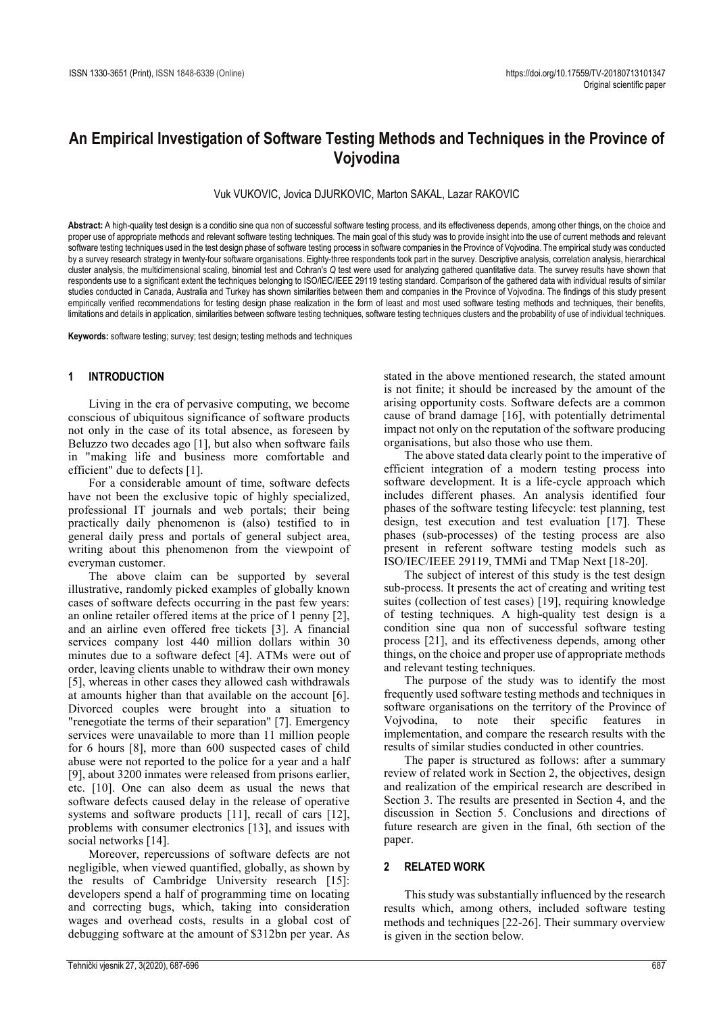# **An Empirical Investigation of Software Testing Methods and Techniques in the Province of Vojvodina**

Vuk VUKOVIC, Jovica DJURKOVIC, Marton SAKAL, Lazar RAKOVIC

**Abstract:** A high-quality test design is a conditio sine qua non of successful software testing process, and its effectiveness depends, among other things, on the choice and proper use of appropriate methods and relevant software testing techniques. The main goal of this study was to provide insight into the use of current methods and relevant software testing techniques used in the test design phase of software testing process in software companies in the Province of Vojvodina. The empirical study was conducted by a survey research strategy in twenty-four software organisations. Eighty-three respondents took part in the survey. Descriptive analysis, correlation analysis, hierarchical cluster analysis, the multidimensional scaling, binomial test and Cohran's *Q* test were used for analyzing gathered quantitative data. The survey results have shown that respondents use to a significant extent the techniques belonging to ISO/IEC/IEEE 29119 testing standard. Comparison of the gathered data with individual results of similar studies conducted in Canada, Australia and Turkey has shown similarities between them and companies in the Province of Vojvodina. The findings of this study present empirically verified recommendations for testing design phase realization in the form of least and most used software testing methods and techniques, their benefits, limitations and details in application, similarities between software testing techniques, software testing techniques clusters and the probability of use of individual techniques.

**Keywords:** software testing; survey; test design; testing methods and techniques

#### **1 INTRODUCTION**

Living in the era of pervasive computing, we become conscious of ubiquitous significance of software products not only in the case of its total absence, as foreseen by Beluzzo two decades ago [1], but also when software fails in "making life and business more comfortable and efficient" due to defects [1].

For a considerable amount of time, software defects have not been the exclusive topic of highly specialized, professional IT journals and web portals; their being practically daily phenomenon is (also) testified to in general daily press and portals of general subject area, writing about this phenomenon from the viewpoint of everyman customer.

The above claim can be supported by several illustrative, randomly picked examples of globally known cases of software defects occurring in the past few years: an online retailer offered items at the price of 1 penny [2], and an airline even offered free tickets [3]. A financial services company lost 440 million dollars within 30 minutes due to a software defect [4]. ATMs were out of order, leaving clients unable to withdraw their own money [5], whereas in other cases they allowed cash withdrawals at amounts higher than that available on the account [6]. Divorced couples were brought into a situation to "renegotiate the terms of their separation" [7]. Emergency services were unavailable to more than 11 million people for 6 hours [8], more than 600 suspected cases of child abuse were not reported to the police for a year and a half [9], about 3200 inmates were released from prisons earlier, etc. [10]. One can also deem as usual the news that software defects caused delay in the release of operative systems and software products [11], recall of cars [12], problems with consumer electronics [13], and issues with social networks [14].

Moreover, repercussions of software defects are not negligible, when viewed quantified, globally, as shown by the results of Cambridge University research [15]: developers spend a half of programming time on locating and correcting bugs, which, taking into consideration wages and overhead costs, results in a global cost of debugging software at the amount of \$312bn per year. As

stated in the above mentioned research, the stated amount is not finite; it should be increased by the amount of the arising opportunity costs. Software defects are a common cause of brand damage [16], with potentially detrimental impact not only on the reputation of the software producing organisations, but also those who use them.

The above stated data clearly point to the imperative of efficient integration of a modern testing process into software development. It is a life-cycle approach which includes different phases. An analysis identified four phases of the software testing lifecycle: test planning, test design, test execution and test evaluation [17]. These phases (sub-processes) of the testing process are also present in referent software testing models such as ISO/IEC/IEEE 29119, TMMi and TMap Next [18-20].

The subject of interest of this study is the test design sub-process. It presents the act of creating and writing test suites (collection of test cases) [19], requiring knowledge of testing techniques. A high-quality test design is a condition sine qua non of successful software testing process [21], and its effectiveness depends, among other things, on the choice and proper use of appropriate methods and relevant testing techniques.

The purpose of the study was to identify the most frequently used software testing methods and techniques in software organisations on the territory of the Province of Vojvodina, to note their specific features in implementation, and compare the research results with the results of similar studies conducted in other countries.

The paper is structured as follows: after a summary review of related work in Section 2, the objectives, design and realization of the empirical research are described in Section 3. The results are presented in Section 4, and the discussion in Section 5. Conclusions and directions of future research are given in the final, 6th section of the paper.

#### **2 RELATED WORK**

This study was substantially influenced by the research results which, among others, included software testing methods and techniques [22-26]. Their summary overview is given in the section below.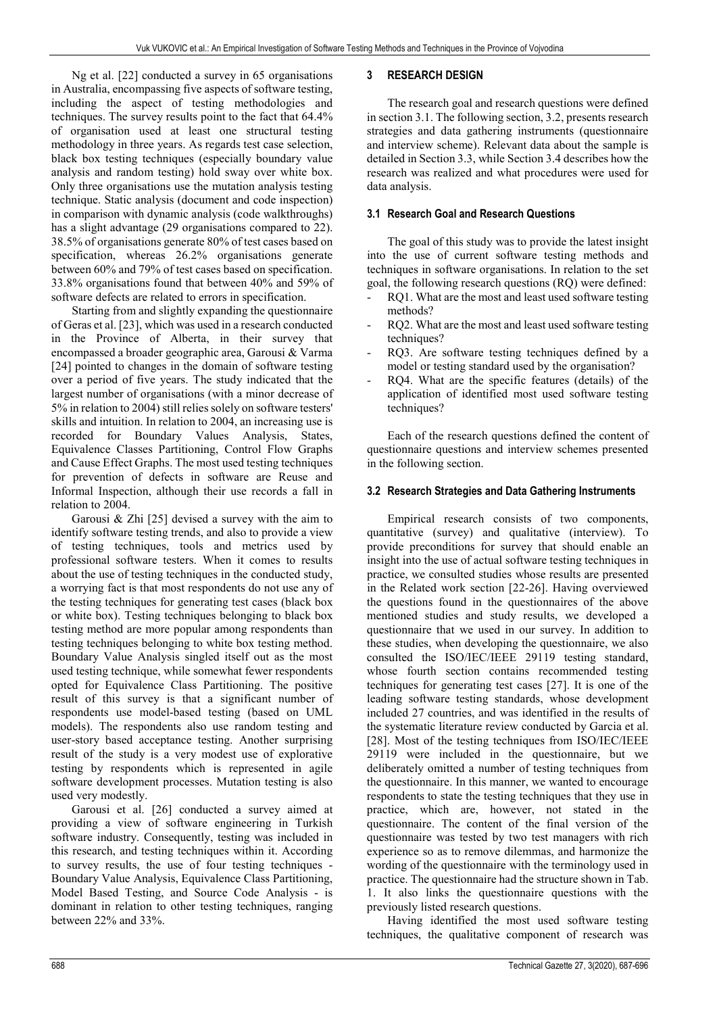Ng et al. [22] conducted a survey in 65 organisations in Australia, encompassing five aspects of software testing, including the aspect of testing methodologies and techniques. The survey results point to the fact that 64.4% of organisation used at least one structural testing methodology in three years. As regards test case selection, black box testing techniques (especially boundary value analysis and random testing) hold sway over white box. Only three organisations use the mutation analysis testing technique. Static analysis (document and code inspection) in comparison with dynamic analysis (code walkthroughs) has a slight advantage (29 organisations compared to 22). 38.5% of organisations generate 80% of test cases based on specification, whereas 26.2% organisations generate between 60% and 79% of test cases based on specification. 33.8% organisations found that between 40% and 59% of software defects are related to errors in specification.

Starting from and slightly expanding the questionnaire of Geras et al. [23], which was used in a research conducted in the Province of Alberta, in their survey that encompassed a broader geographic area, Garousi & Varma [24] pointed to changes in the domain of software testing over a period of five years. The study indicated that the largest number of organisations (with a minor decrease of 5% in relation to 2004) still relies solely on software testers' skills and intuition. In relation to 2004, an increasing use is recorded for Boundary Values Analysis, States, Equivalence Classes Partitioning, Control Flow Graphs and Cause Effect Graphs. The most used testing techniques for prevention of defects in software are Reuse and Informal Inspection, although their use records a fall in relation to 2004.

Garousi & Zhi [25] devised a survey with the aim to identify software testing trends, and also to provide a view of testing techniques, tools and metrics used by professional software testers. When it comes to results about the use of testing techniques in the conducted study, a worrying fact is that most respondents do not use any of the testing techniques for generating test cases (black box or white box). Testing techniques belonging to black box testing method are more popular among respondents than testing techniques belonging to white box testing method. Boundary Value Analysis singled itself out as the most used testing technique, while somewhat fewer respondents opted for Equivalence Class Partitioning. The positive result of this survey is that a significant number of respondents use model-based testing (based on UML models). The respondents also use random testing and user-story based acceptance testing. Another surprising result of the study is a very modest use of explorative testing by respondents which is represented in agile software development processes. Mutation testing is also used very modestly.

Garousi et al. [26] conducted a survey aimed at providing a view of software engineering in Turkish software industry. Consequently, testing was included in this research, and testing techniques within it. According to survey results, the use of four testing techniques - Boundary Value Analysis, Equivalence Class Partitioning, Model Based Testing, and Source Code Analysis - is dominant in relation to other testing techniques, ranging between 22% and 33%.

## **3 RESEARCH DESIGN**

The research goal and research questions were defined in section 3.1. The following section, 3.2, presents research strategies and data gathering instruments (questionnaire and interview scheme). Relevant data about the sample is detailed in Section 3.3, while Section 3.4 describes how the research was realized and what procedures were used for data analysis.

#### **3.1 Research Goal and Research Questions**

The goal of this study was to provide the latest insight into the use of current software testing methods and techniques in software organisations. In relation to the set goal, the following research questions (RQ) were defined:

- RQ1. What are the most and least used software testing methods?
- RQ2. What are the most and least used software testing techniques?
- RQ3. Are software testing techniques defined by a model or testing standard used by the organisation?
- RQ4. What are the specific features (details) of the application of identified most used software testing techniques?

Each of the research questions defined the content of questionnaire questions and interview schemes presented in the following section.

## **3.2 Research Strategies and Data Gathering Instruments**

Empirical research consists of two components, quantitative (survey) and qualitative (interview). To provide preconditions for survey that should enable an insight into the use of actual software testing techniques in practice, we consulted studies whose results are presented in the Related work section [22-26]. Having overviewed the questions found in the questionnaires of the above mentioned studies and study results, we developed a questionnaire that we used in our survey. In addition to these studies, when developing the questionnaire, we also consulted the ISO/IEC/IEEE 29119 testing standard, whose fourth section contains recommended testing techniques for generating test cases [27]. It is one of the leading software testing standards, whose development included 27 countries, and was identified in the results of the systematic literature review conducted by Garcia et al. [28]. Most of the testing techniques from ISO/IEC/IEEE 29119 were included in the questionnaire, but we deliberately omitted a number of testing techniques from the questionnaire. In this manner, we wanted to encourage respondents to state the testing techniques that they use in practice, which are, however, not stated in the questionnaire. The content of the final version of the questionnaire was tested by two test managers with rich experience so as to remove dilemmas, and harmonize the wording of the questionnaire with the terminology used in practice. The questionnaire had the structure shown in Tab. 1. It also links the questionnaire questions with the previously listed research questions.

Having identified the most used software testing techniques, the qualitative component of research was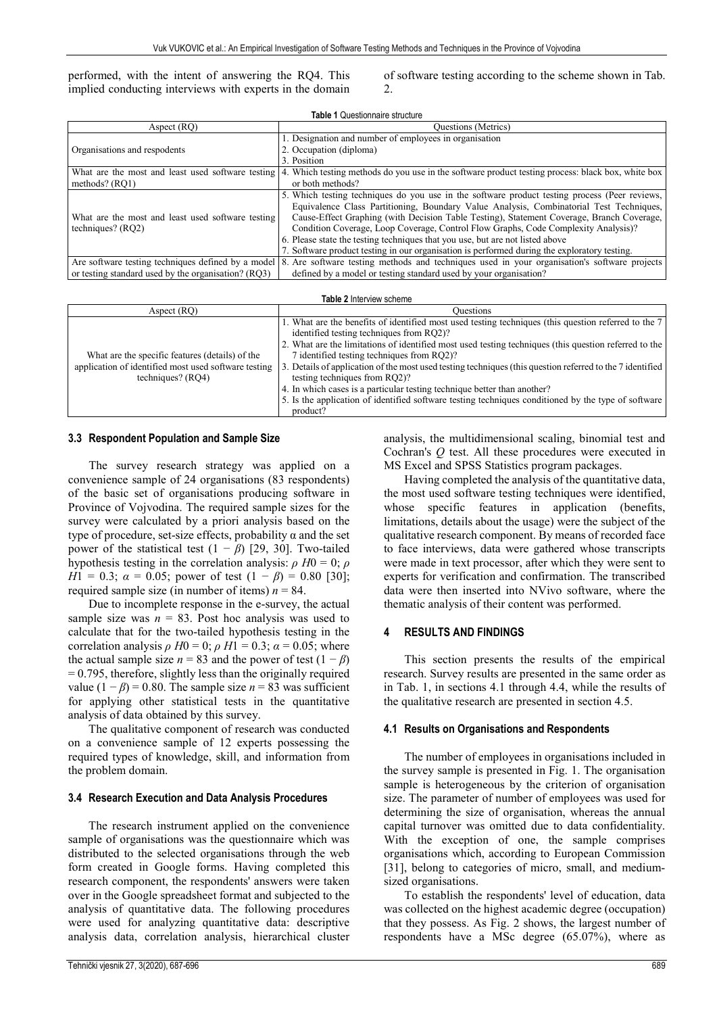performed, with the intent of answering the RQ4. This implied conducting interviews with experts in the domain

of software testing according to the scheme shown in Tab. 2.

| <b>Table 1 Questionnaire structure</b>                                   |                                                                                                                                                                                                                                                                                                                                                                                                                                                                                                                                                              |  |  |  |
|--------------------------------------------------------------------------|--------------------------------------------------------------------------------------------------------------------------------------------------------------------------------------------------------------------------------------------------------------------------------------------------------------------------------------------------------------------------------------------------------------------------------------------------------------------------------------------------------------------------------------------------------------|--|--|--|
| Aspect (RO)                                                              | Questions (Metrics)                                                                                                                                                                                                                                                                                                                                                                                                                                                                                                                                          |  |  |  |
|                                                                          | 1. Designation and number of employees in organisation                                                                                                                                                                                                                                                                                                                                                                                                                                                                                                       |  |  |  |
| Organisations and respodents                                             | 2. Occupation (diploma)                                                                                                                                                                                                                                                                                                                                                                                                                                                                                                                                      |  |  |  |
|                                                                          | 3. Position                                                                                                                                                                                                                                                                                                                                                                                                                                                                                                                                                  |  |  |  |
|                                                                          | What are the most and least used software testing 4. Which testing methods do you use in the software product testing process: black box, white box                                                                                                                                                                                                                                                                                                                                                                                                          |  |  |  |
| methods? (RQ1)                                                           | or both methods?                                                                                                                                                                                                                                                                                                                                                                                                                                                                                                                                             |  |  |  |
| What are the most and least used software testing<br>techniques? $(RQ2)$ | 5. Which testing techniques do you use in the software product testing process (Peer reviews,<br>Equivalence Class Partitioning, Boundary Value Analysis, Combinatorial Test Techniques,<br>Cause-Effect Graphing (with Decision Table Testing), Statement Coverage, Branch Coverage,<br>Condition Coverage, Loop Coverage, Control Flow Graphs, Code Complexity Analysis)?<br>6. Please state the testing techniques that you use, but are not listed above<br>7. Software product testing in our organisation is performed during the exploratory testing. |  |  |  |
|                                                                          | Are software testing techniques defined by a model 8. Are software testing methods and techniques used in your organisation's software projects                                                                                                                                                                                                                                                                                                                                                                                                              |  |  |  |
| or testing standard used by the organisation? (RQ3)                      | defined by a model or testing standard used by your organisation?                                                                                                                                                                                                                                                                                                                                                                                                                                                                                            |  |  |  |

| Table 2 Interview scheme                                                                                                     |                                                                                                                                                                                                                                                                                                                                                                                                                                                                                                                                                                                                                                                       |  |  |  |
|------------------------------------------------------------------------------------------------------------------------------|-------------------------------------------------------------------------------------------------------------------------------------------------------------------------------------------------------------------------------------------------------------------------------------------------------------------------------------------------------------------------------------------------------------------------------------------------------------------------------------------------------------------------------------------------------------------------------------------------------------------------------------------------------|--|--|--|
| Aspect (RO)                                                                                                                  | Ouestions                                                                                                                                                                                                                                                                                                                                                                                                                                                                                                                                                                                                                                             |  |  |  |
| What are the specific features (details) of the<br>application of identified most used software testing<br>techniques? (RO4) | 1. What are the benefits of identified most used testing techniques (this question referred to the 7)<br>identified testing techniques from RO2)?<br>2. What are the limitations of identified most used testing techniques (this question referred to the<br>7 identified testing techniques from RO2)?<br>3. Details of application of the most used testing techniques (this question referred to the 7 identified<br>testing techniques from RQ2)?<br>4. In which cases is a particular testing technique better than another?<br>5. Is the application of identified software testing techniques conditioned by the type of software<br>product? |  |  |  |

#### **3.3 Respondent Population and Sample Size**

The survey research strategy was applied on a convenience sample of 24 organisations (83 respondents) of the basic set of organisations producing software in Province of Vojvodina. The required sample sizes for the survey were calculated by a priori analysis based on the type of procedure, set-size effects, probability  $\alpha$  and the set power of the statistical test  $(1 - \beta)$  [29, 30]. Two-tailed hypothesis testing in the correlation analysis:  $\rho$  *H*0 = 0;  $\rho$ *H*1 = 0.3;  $\alpha$  = 0.05; power of test  $(1 - \beta)$  = 0.80 [30]; required sample size (in number of items)  $n = 84$ .

Due to incomplete response in the e-survey, the actual sample size was  $n = 83$ . Post hoc analysis was used to calculate that for the two-tailed hypothesis testing in the correlation analysis  $\rho$  *H*0 = 0;  $\rho$  *H*1 = 0.3;  $\alpha$  = 0.05; where the actual sample size  $n = 83$  and the power of test  $(1 - \beta)$  $= 0.795$ , therefore, slightly less than the originally required value  $(1 - \beta) = 0.80$ . The sample size  $n = 83$  was sufficient for applying other statistical tests in the quantitative analysis of data obtained by this survey.

The qualitative component of research was conducted on a convenience sample of 12 experts possessing the required types of knowledge, skill, and information from the problem domain.

#### **3.4 Research Execution and Data Analysis Procedures**

The research instrument applied on the convenience sample of organisations was the questionnaire which was distributed to the selected organisations through the web form created in Google forms. Having completed this research component, the respondents' answers were taken over in the Google spreadsheet format and subjected to the analysis of quantitative data. The following procedures were used for analyzing quantitative data: descriptive analysis data, correlation analysis, hierarchical cluster analysis, the multidimensional scaling, binomial test and Cochran's *Q* test. All these procedures were executed in MS Excel and SPSS Statistics program packages.

Having completed the analysis of the quantitative data, the most used software testing techniques were identified, whose specific features in application (benefits, limitations, details about the usage) were the subject of the qualitative research component. By means of recorded face to face interviews, data were gathered whose transcripts were made in text processor, after which they were sent to experts for verification and confirmation. The transcribed data were then inserted into NVivo software, where the thematic analysis of their content was performed.

#### **4 RESULTS AND FINDINGS**

This section presents the results of the empirical research. Survey results are presented in the same order as in Tab. 1, in sections 4.1 through 4.4, while the results of the qualitative research are presented in section 4.5.

#### **4.1 Results on Organisations and Respondents**

The number of employees in organisations included in the survey sample is presented in Fig. 1. The organisation sample is heterogeneous by the criterion of organisation size. The parameter of number of employees was used for determining the size of organisation, whereas the annual capital turnover was omitted due to data confidentiality. With the exception of one, the sample comprises organisations which, according to European Commission [31], belong to categories of micro, small, and mediumsized organisations.

To establish the respondents' level of education, data was collected on the highest academic degree (occupation) that they possess. As Fig. 2 shows, the largest number of respondents have a MSc degree (65.07%), where as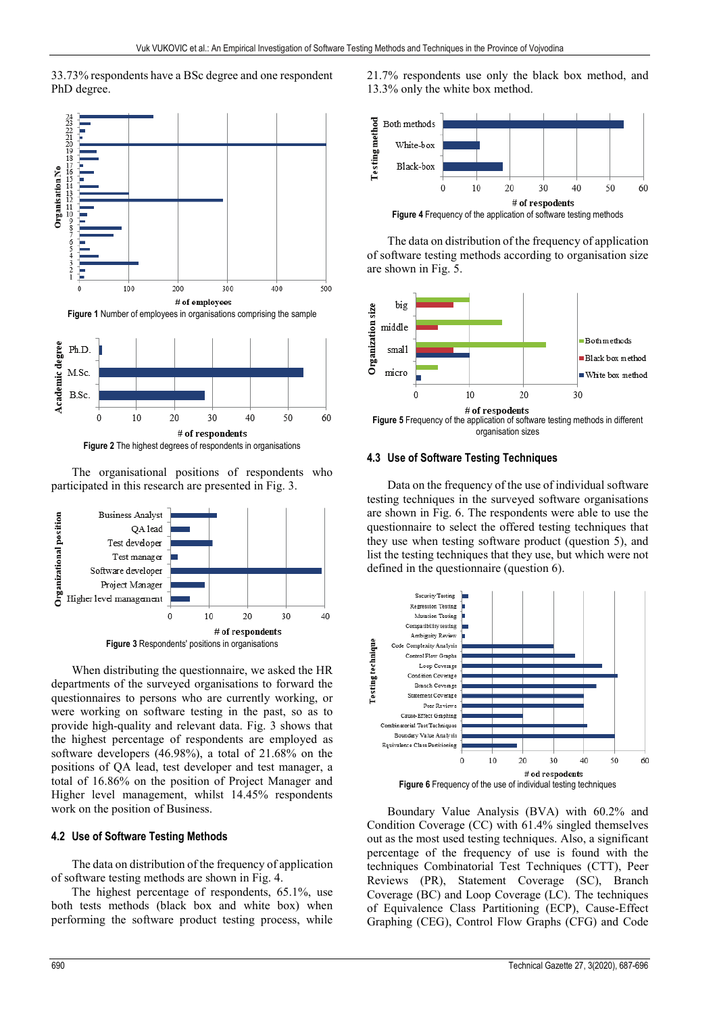



**Figure 2** The highest degrees of respondents in organisations

The organisational positions of respondents who participated in this research are presented in Fig. 3.



When distributing the questionnaire, we asked the HR departments of the surveyed organisations to forward the questionnaires to persons who are currently working, or were working on software testing in the past, so as to provide high-quality and relevant data. Fig. 3 shows that the highest percentage of respondents are employed as software developers (46.98%), a total of 21.68% on the positions of QA lead, test developer and test manager, a total of 16.86% on the position of Project Manager and Higher level management, whilst 14.45% respondents work on the position of Business.

## **4.2 Use of Software Testing Methods**

The data on distribution of the frequency of application of software testing methods are shown in Fig. 4.

The highest percentage of respondents, 65.1%, use both tests methods (black box and white box) when performing the software product testing process, while 21.7% respondents use only the black box method, and 13.3% only the white box method.



The data on distribution of the frequency of application of software testing methods according to organisation size are shown in Fig. 5.



organisation sizes

#### **4.3 Use of Software Testing Techniques**

Data on the frequency of the use of individual software testing techniques in the surveyed software organisations are shown in Fig. 6. The respondents were able to use the questionnaire to select the offered testing techniques that they use when testing software product (question 5), and list the testing techniques that they use, but which were not defined in the questionnaire (question 6).



Boundary Value Analysis (BVA) with 60.2% and Condition Coverage (CC) with 61.4% singled themselves out as the most used testing techniques. Also, a significant percentage of the frequency of use is found with the techniques Combinatorial Test Techniques (CTT), Peer Reviews (PR), Statement Coverage (SC), Branch Coverage (BC) and Loop Coverage (LC). The techniques of Equivalence Class Partitioning (ECP), Cause-Effect Graphing (CEG), Control Flow Graphs (CFG) and Code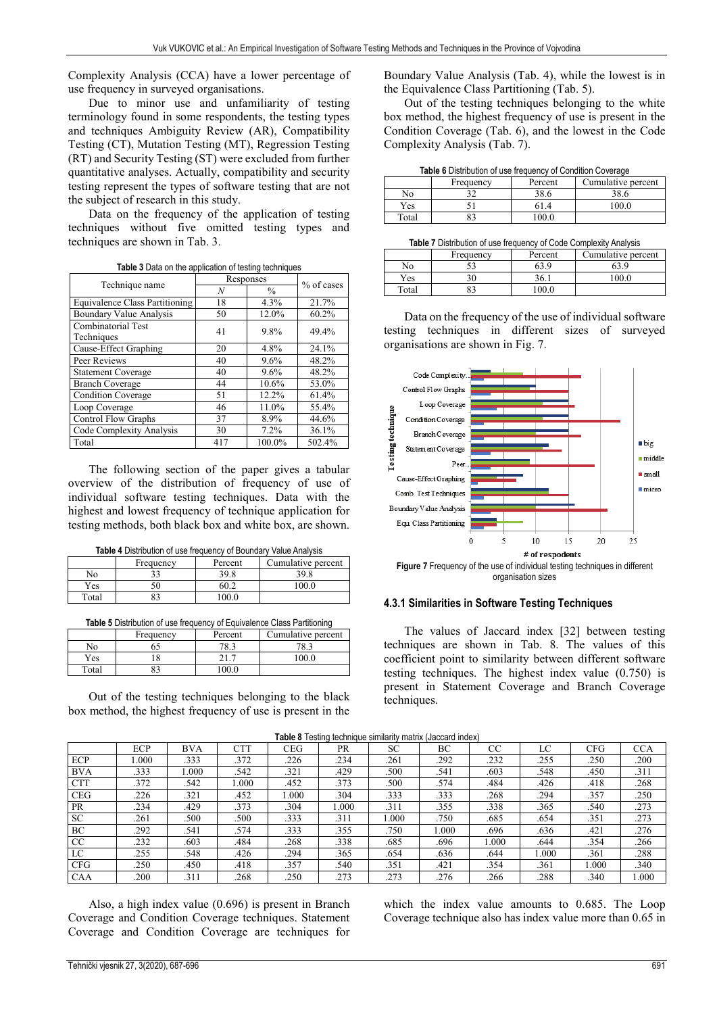Complexity Analysis (CCA) have a lower percentage of use frequency in surveyed organisations.

Due to minor use and unfamiliarity of testing terminology found in some respondents, the testing types and techniques Ambiguity Review (AR), Compatibility Testing (CT), Mutation Testing (MT), Regression Testing (RT) and Security Testing (ST) were excluded from further quantitative analyses. Actually, compatibility and security testing represent the types of software testing that are not the subject of research in this study.

Data on the frequency of the application of testing techniques without five omitted testing types and techniques are shown in Tab. 3.

|                                       | Responses | % of cases    |        |
|---------------------------------------|-----------|---------------|--------|
| Technique name                        | N         | $\frac{0}{0}$ |        |
| <b>Equivalence Class Partitioning</b> | 18        | 4.3%          | 21.7%  |
| <b>Boundary Value Analysis</b>        | 50        | 12.0%         | 60.2%  |
| Combinatorial Test                    | 41        | 9.8%          | 49.4%  |
| Techniques                            |           |               |        |
| Cause-Effect Graphing                 | 20        | 4.8%          | 24.1%  |
| Peer Reviews                          | 40        | 9.6%          | 48.2%  |
| <b>Statement Coverage</b>             | 40        | 9.6%          | 48.2%  |
| <b>Branch Coverage</b>                | 44        | 10.6%         | 53.0%  |
| <b>Condition Coverage</b>             | 51        | 12.2%         | 61.4%  |
| Loop Coverage                         | 46        | 11.0%         | 55.4%  |
| <b>Control Flow Graphs</b>            | 37        | 8.9%          | 44.6%  |
| Code Complexity Analysis              | 30        | 7.2%          | 36.1%  |
| Total                                 | 417       | 100.0%        | 502.4% |

**Table 3** Data on the application of testing techniques

The following section of the paper gives a tabular overview of the distribution of frequency of use of individual software testing techniques. Data with the highest and lowest frequency of technique application for testing methods, both black box and white box, are shown.

|       | Frequency | Percent | Cumulative percent |
|-------|-----------|---------|--------------------|
| No    |           | 30 S    | 398                |
| Yes   |           |         | <u>n no</u>        |
| Total | ດາ        | nn r    |                    |
|       |           |         |                    |

**Table 5** Distribution of use frequency of Equivalence Class Partitioning

|       | Frequency | Percent      | Cumulative percent |
|-------|-----------|--------------|--------------------|
| No    |           | 70.2<br>'റ.ാ | 70.2               |
| Yes.  |           | .            | 100 0              |
| Total |           | 00.0         |                    |

Out of the testing techniques belonging to the black box method, the highest frequency of use is present in the Boundary Value Analysis (Tab. 4), while the lowest is in the Equivalence Class Partitioning (Tab. 5).

Out of the testing techniques belonging to the white box method, the highest frequency of use is present in the Condition Coverage (Tab. 6), and the lowest in the Code Complexity Analysis (Tab. 7).

**Table 6** Distribution of use frequency of Condition Coverage

|       | Frequency | Percent    | Cumulative percent |
|-------|-----------|------------|--------------------|
| No    |           | າວ<br>58.0 | າ ວ<br>38.C        |
| Yes   |           |            | 100 C              |
| Total |           |            |                    |

| Table 7 Distribution of use frequency of Code Complexity Analysis |  |
|-------------------------------------------------------------------|--|
|-------------------------------------------------------------------|--|

|       | Frequency | Percent | Cumulative percent |
|-------|-----------|---------|--------------------|
| No    |           | 53.9    |                    |
| Yes   |           | 36.1    | 100 ሴ              |
| Total | 83        | 00 U    |                    |

Data on the frequency of the use of individual software testing techniques in different sizes of surveyed organisations are shown in Fig. 7.



organisation sizes

#### **4.3.1 Similarities in Software Testing Techniques**

The values of Jaccard index [32] between testing techniques are shown in Tab. 8. The values of this coefficient point to similarity between different software testing techniques. The highest index value (0.750) is present in Statement Coverage and Branch Coverage techniques.

|            |      |            |      |            | <b>I able 0</b> Testing technique similarity matrix (Jaccard Index) |           |       |       |       |            |            |
|------------|------|------------|------|------------|---------------------------------------------------------------------|-----------|-------|-------|-------|------------|------------|
|            | ECP  | <b>BVA</b> | CTT  | <b>CEG</b> | <b>PR</b>                                                           | <b>SC</b> | BС    | CC    | LC    | <b>CFG</b> | <b>CCA</b> |
| ECP        | .000 | .333       | .372 | .226       | .234                                                                | .261      | .292  | .232  | .255  | .250       | .200       |
| <b>BVA</b> | .333 | .000       | .542 | .321       | .429                                                                | .500      | .541  | .603  | .548  | .450       | .311       |
| <b>CTT</b> | .372 | .542       | .000 | .452       | .373                                                                | .500      | .574  | .484  | .426  | .418       | .268       |
| <b>CEG</b> | .226 | .321       | .452 | 000.1      | .304                                                                | .333      | .333  | .268  | .294  | .357       | .250       |
| <b>PR</b>  | .234 | .429       | .373 | .304       | 1.000                                                               | .311      | .355  | .338  | .365  | .540       | .273       |
| <b>SC</b>  | .261 | .500       | .500 | .333       | .311                                                                | .000      | .750  | .685  | .654  | .351       | .273       |
| <b>BC</b>  | .292 | .541       | .574 | .333       | .355                                                                | .750      | 1.000 | .696  | .636  | .421       | .276       |
| CC         | .232 | .603       | .484 | .268       | .338                                                                | .685      | .696  | 1.000 | .644  | .354       | .266       |
| LC         | .255 | .548       | .426 | .294       | .365                                                                | .654      | .636  | .644  | 000.1 | .361       | .288       |
| <b>CFG</b> | .250 | .450       | .418 | .357       | .540                                                                | .351      | .421  | .354  | .361  | 1.000      | .340       |
| <b>CAA</b> | .200 | .311       | 268  | .250       | .273                                                                | .273      | .276  | .266  | .288  | .340       | 1.000      |

**Table 8** Testing technique similarity matrix (Jaccard index)

Also, a high index value (0.696) is present in Branch Coverage and Condition Coverage techniques. Statement Coverage and Condition Coverage are techniques for

which the index value amounts to 0.685. The Loop Coverage technique also has index value more than 0.65 in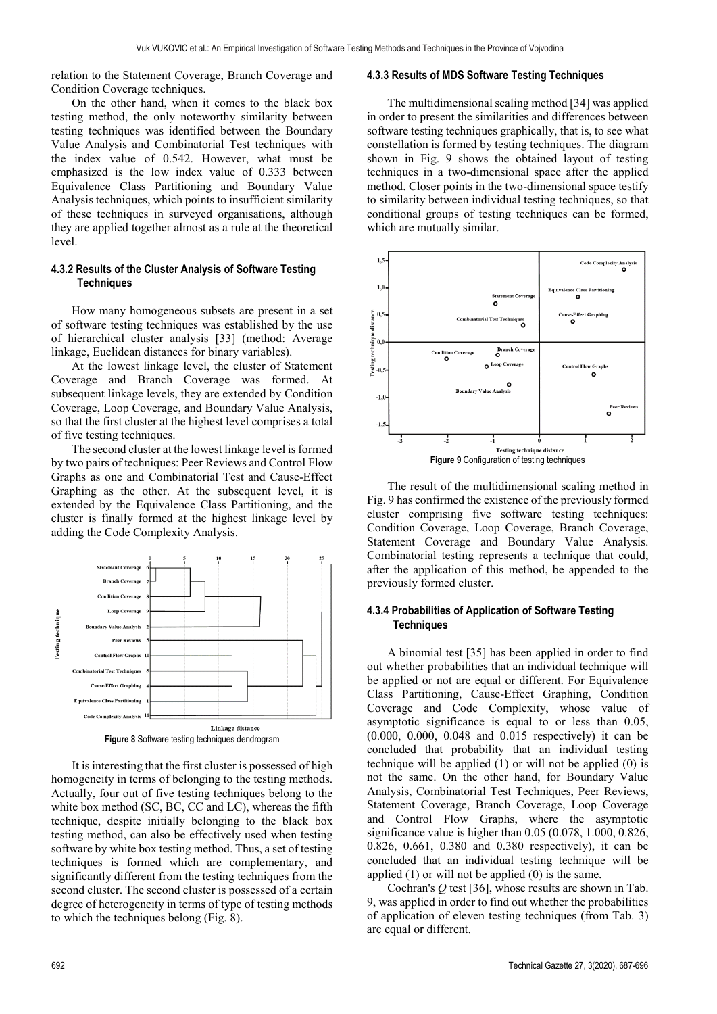relation to the Statement Coverage, Branch Coverage and Condition Coverage techniques.

On the other hand, when it comes to the black box testing method, the only noteworthy similarity between testing techniques was identified between the Boundary Value Analysis and Combinatorial Test techniques with the index value of 0.542. However, what must be emphasized is the low index value of 0.333 between Equivalence Class Partitioning and Boundary Value Analysis techniques, which points to insufficient similarity of these techniques in surveyed organisations, although they are applied together almost as a rule at the theoretical level.

## **4.3.2 Results of the Cluster Analysis of Software Testing Techniques**

How many homogeneous subsets are present in a set of software testing techniques was established by the use of hierarchical cluster analysis [33] (method: Average linkage, Euclidean distances for binary variables).

At the lowest linkage level, the cluster of Statement Coverage and Branch Coverage was formed. At subsequent linkage levels, they are extended by Condition Coverage, Loop Coverage, and Boundary Value Analysis, so that the first cluster at the highest level comprises a total of five testing techniques.

The second cluster at the lowest linkage level is formed by two pairs of techniques: Peer Reviews and Control Flow Graphs as one and Combinatorial Test and Cause-Effect Graphing as the other. At the subsequent level, it is extended by the Equivalence Class Partitioning, and the cluster is finally formed at the highest linkage level by adding the Code Complexity Analysis.



It is interesting that the first cluster is possessed of high homogeneity in terms of belonging to the testing methods. Actually, four out of five testing techniques belong to the white box method (SC, BC, CC and LC), whereas the fifth technique, despite initially belonging to the black box testing method, can also be effectively used when testing software by white box testing method. Thus, a set of testing techniques is formed which are complementary, and significantly different from the testing techniques from the second cluster. The second cluster is possessed of a certain degree of heterogeneity in terms of type of testing methods to which the techniques belong (Fig. 8).

## **4.3.3 Results of MDS Software Testing Techniques**

The multidimensional scaling method [34] was applied in order to present the similarities and differences between software testing techniques graphically, that is, to see what constellation is formed by testing techniques. The diagram shown in Fig. 9 shows the obtained layout of testing techniques in a two-dimensional space after the applied method. Closer points in the two-dimensional space testify to similarity between individual testing techniques, so that conditional groups of testing techniques can be formed, which are mutually similar.



The result of the multidimensional scaling method in Fig. 9 has confirmed the existence of the previously formed cluster comprising five software testing techniques: Condition Coverage, Loop Coverage, Branch Coverage, Statement Coverage and Boundary Value Analysis. Combinatorial testing represents a technique that could, after the application of this method, be appended to the previously formed cluster.

#### **4.3.4 Probabilities of Application of Software Testing Techniques**

A binomial test [35] has been applied in order to find out whether probabilities that an individual technique will be applied or not are equal or different. For Equivalence Class Partitioning, Cause-Effect Graphing, Condition Coverage and Code Complexity, whose value of asymptotic significance is equal to or less than 0.05, (0.000, 0.000, 0.048 and 0.015 respectively) it can be concluded that probability that an individual testing technique will be applied (1) or will not be applied (0) is not the same. On the other hand, for Boundary Value Analysis, Combinatorial Test Techniques, Peer Reviews, Statement Coverage, Branch Coverage, Loop Coverage and Control Flow Graphs, where the asymptotic significance value is higher than 0.05 (0.078, 1.000, 0.826, 0.826, 0.661, 0.380 and 0.380 respectively), it can be concluded that an individual testing technique will be applied (1) or will not be applied (0) is the same.

Cochran's *Q* test [36], whose results are shown in Tab. 9, was applied in order to find out whether the probabilities of application of eleven testing techniques (from Tab. 3) are equal or different.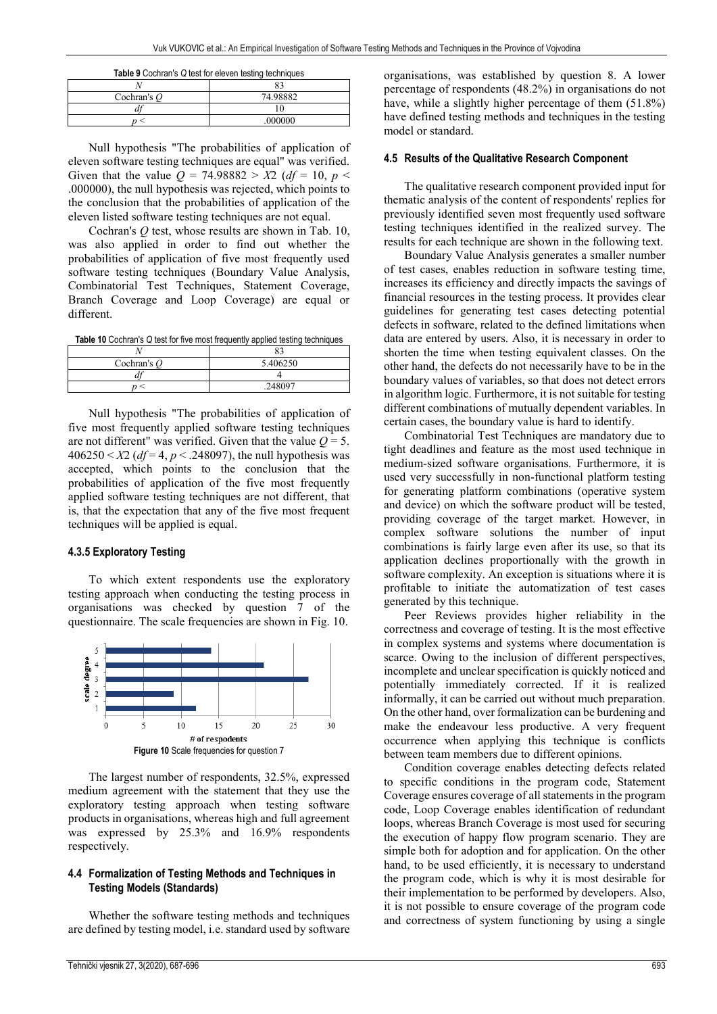| <b>Table 9 Cochran's Q test for eleven testing techniques</b> |          |  |
|---------------------------------------------------------------|----------|--|
|                                                               |          |  |
| Cochran's $O$                                                 | 74.98882 |  |
|                                                               |          |  |
|                                                               | .000000  |  |

Null hypothesis "The probabilities of application of eleven software testing techniques are equal" was verified. Given that the value  $Q = 74.98882 > X2$  (*df* = 10, *p* < .000000), the null hypothesis was rejected, which points to the conclusion that the probabilities of application of the eleven listed software testing techniques are not equal.

Cochran's *Q* test, whose results are shown in Tab. 10, was also applied in order to find out whether the probabilities of application of five most frequently used software testing techniques (Boundary Value Analysis, Combinatorial Test Techniques, Statement Coverage, Branch Coverage and Loop Coverage) are equal or different.

**Table 10** Cochran's *Q* test for five most frequently applied testing techniques

| 5.406250 |
|----------|
|          |
| 248097   |
|          |

Null hypothesis "The probabilities of application of five most frequently applied software testing techniques are not different" was verified. Given that the value  $Q = 5$ .  $406250 < X2$  (*df* = 4, *p* < .248097), the null hypothesis was accepted, which points to the conclusion that the probabilities of application of the five most frequently applied software testing techniques are not different, that is, that the expectation that any of the five most frequent techniques will be applied is equal.

## **4.3.5 Exploratory Testing**

To which extent respondents use the exploratory testing approach when conducting the testing process in organisations was checked by question 7 of the questionnaire. The scale frequencies are shown in Fig. 10.



The largest number of respondents, 32.5%, expressed medium agreement with the statement that they use the exploratory testing approach when testing software products in organisations, whereas high and full agreement was expressed by 25.3% and 16.9% respondents respectively.

#### **4.4 Formalization of Testing Methods and Techniques in Testing Models (Standards)**

Whether the software testing methods and techniques are defined by testing model, i.e. standard used by software organisations, was established by question 8. A lower percentage of respondents (48.2%) in organisations do not have, while a slightly higher percentage of them (51.8%) have defined testing methods and techniques in the testing model or standard.

#### **4.5 Results of the Qualitative Research Component**

The qualitative research component provided input for thematic analysis of the content of respondents' replies for previously identified seven most frequently used software testing techniques identified in the realized survey. The results for each technique are shown in the following text.

Boundary Value Analysis generates a smaller number of test cases, enables reduction in software testing time, increases its efficiency and directly impacts the savings of financial resources in the testing process. It provides clear guidelines for generating test cases detecting potential defects in software, related to the defined limitations when data are entered by users. Also, it is necessary in order to shorten the time when testing equivalent classes. On the other hand, the defects do not necessarily have to be in the boundary values of variables, so that does not detect errors in algorithm logic. Furthermore, it is not suitable for testing different combinations of mutually dependent variables. In certain cases, the boundary value is hard to identify.

Combinatorial Test Techniques are mandatory due to tight deadlines and feature as the most used technique in medium-sized software organisations. Furthermore, it is used very successfully in non-functional platform testing for generating platform combinations (operative system and device) on which the software product will be tested, providing coverage of the target market. However, in complex software solutions the number of input combinations is fairly large even after its use, so that its application declines proportionally with the growth in software complexity. An exception is situations where it is profitable to initiate the automatization of test cases generated by this technique.

Peer Reviews provides higher reliability in the correctness and coverage of testing. It is the most effective in complex systems and systems where documentation is scarce. Owing to the inclusion of different perspectives, incomplete and unclear specification is quickly noticed and potentially immediately corrected. If it is realized informally, it can be carried out without much preparation. On the other hand, over formalization can be burdening and make the endeavour less productive. A very frequent occurrence when applying this technique is conflicts between team members due to different opinions.

Condition coverage enables detecting defects related to specific conditions in the program code, Statement Coverage ensures coverage of all statements in the program code, Loop Coverage enables identification of redundant loops, whereas Branch Coverage is most used for securing the execution of happy flow program scenario. They are simple both for adoption and for application. On the other hand, to be used efficiently, it is necessary to understand the program code, which is why it is most desirable for their implementation to be performed by developers. Also, it is not possible to ensure coverage of the program code and correctness of system functioning by using a single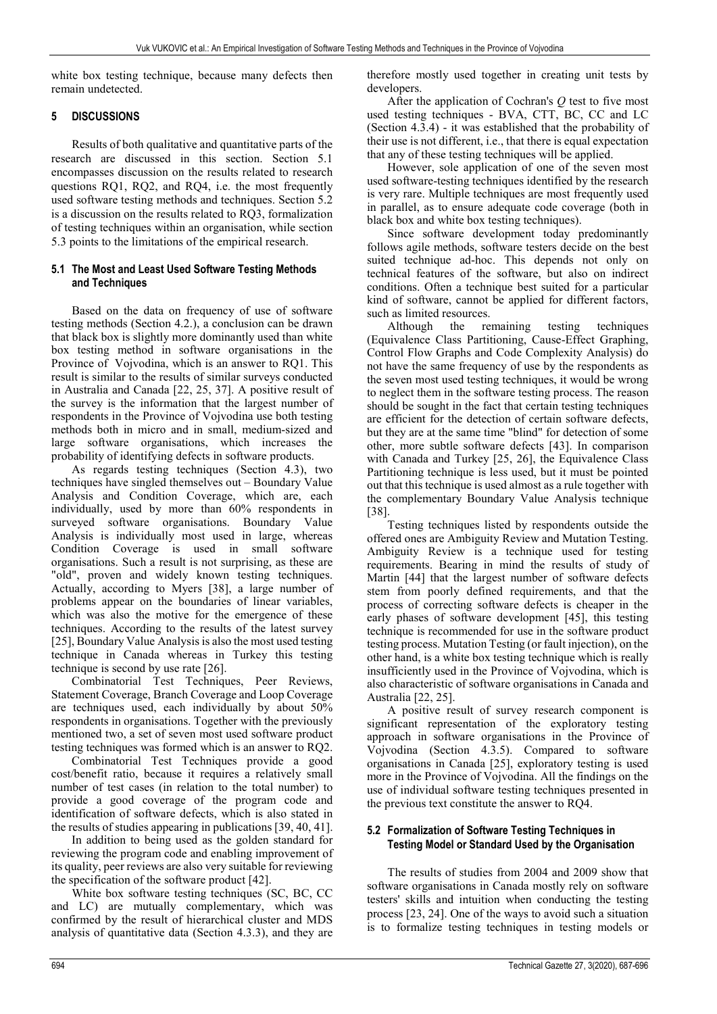white box testing technique, because many defects then remain undetected.

## **5 DISCUSSIONS**

Results of both qualitative and quantitative parts of the research are discussed in this section. Section 5.1 encompasses discussion on the results related to research questions RQ1, RQ2, and RQ4, i.e. the most frequently used software testing methods and techniques. Section 5.2 is a discussion on the results related to RQ3, formalization of testing techniques within an organisation, while section 5.3 points to the limitations of the empirical research.

## **5.1 The Most and Least Used Software Testing Methods and Techniques**

Based on the data on frequency of use of software testing methods (Section 4.2.), a conclusion can be drawn that black box is slightly more dominantly used than white box testing method in software organisations in the Province of Vojvodina, which is an answer to RQ1. This result is similar to the results of similar surveys conducted in Australia and Canada [22, 25, 37]. A positive result of the survey is the information that the largest number of respondents in the Province of Vojvodina use both testing methods both in micro and in small, medium-sized and large software organisations, which increases the probability of identifying defects in software products.

As regards testing techniques (Section 4.3), two techniques have singled themselves out – Boundary Value Analysis and Condition Coverage, which are, each individually, used by more than 60% respondents in surveyed software organisations. Boundary Value Analysis is individually most used in large, whereas Condition Coverage is used in small software organisations. Such a result is not surprising, as these are "old", proven and widely known testing techniques. Actually, according to Myers [38], a large number of problems appear on the boundaries of linear variables, which was also the motive for the emergence of these techniques. According to the results of the latest survey [25], Boundary Value Analysis is also the most used testing technique in Canada whereas in Turkey this testing technique is second by use rate [26].

Combinatorial Test Techniques, Peer Reviews, Statement Coverage, Branch Coverage and Loop Coverage are techniques used, each individually by about 50% respondents in organisations. Together with the previously mentioned two, a set of seven most used software product testing techniques was formed which is an answer to RQ2.

Combinatorial Test Techniques provide a good cost/benefit ratio, because it requires a relatively small number of test cases (in relation to the total number) to provide a good coverage of the program code and identification of software defects, which is also stated in the results of studies appearing in publications [39, 40, 41].

In addition to being used as the golden standard for reviewing the program code and enabling improvement of its quality, peer reviews are also very suitable for reviewing the specification of the software product [42].

White box software testing techniques (SC, BC, CC and LC) are mutually complementary, which was confirmed by the result of hierarchical cluster and MDS analysis of quantitative data (Section 4.3.3), and they are

therefore mostly used together in creating unit tests by developers.

After the application of Cochran's *Q* test to five most used testing techniques - BVA, CTT, BC, CC and LC (Section 4.3.4) - it was established that the probability of their use is not different, i.e., that there is equal expectation that any of these testing techniques will be applied.

However, sole application of one of the seven most used software-testing techniques identified by the research is very rare. Multiple techniques are most frequently used in parallel, as to ensure adequate code coverage (both in black box and white box testing techniques).

Since software development today predominantly follows agile methods, software testers decide on the best suited technique ad-hoc. This depends not only on technical features of the software, but also on indirect conditions. Often a technique best suited for a particular kind of software, cannot be applied for different factors, such as limited resources.

Although the remaining testing techniques (Equivalence Class Partitioning, Cause-Effect Graphing, Control Flow Graphs and Code Complexity Analysis) do not have the same frequency of use by the respondents as the seven most used testing techniques, it would be wrong to neglect them in the software testing process. The reason should be sought in the fact that certain testing techniques are efficient for the detection of certain software defects, but they are at the same time "blind" for detection of some other, more subtle software defects [43]. In comparison with Canada and Turkey [25, 26], the Equivalence Class Partitioning technique is less used, but it must be pointed out that this technique is used almost as a rule together with the complementary Boundary Value Analysis technique [38].

Testing techniques listed by respondents outside the offered ones are Ambiguity Review and Mutation Testing. Ambiguity Review is a technique used for testing requirements. Bearing in mind the results of study of Martin [44] that the largest number of software defects stem from poorly defined requirements, and that the process of correcting software defects is cheaper in the early phases of software development [45], this testing technique is recommended for use in the software product testing process. Mutation Testing (or fault injection), on the other hand, is a white box testing technique which is really insufficiently used in the Province of Vojvodina, which is also characteristic of software organisations in Canada and Australia [22, 25].

A positive result of survey research component is significant representation of the exploratory testing approach in software organisations in the Province of Vojvodina (Section 4.3.5). Compared to software organisations in Canada [25], exploratory testing is used more in the Province of Vojvodina. All the findings on the use of individual software testing techniques presented in the previous text constitute the answer to RQ4.

## **5.2 Formalization of Software Testing Techniques in Testing Model or Standard Used by the Organisation**

The results of studies from 2004 and 2009 show that software organisations in Canada mostly rely on software testers' skills and intuition when conducting the testing process [23, 24]. One of the ways to avoid such a situation is to formalize testing techniques in testing models or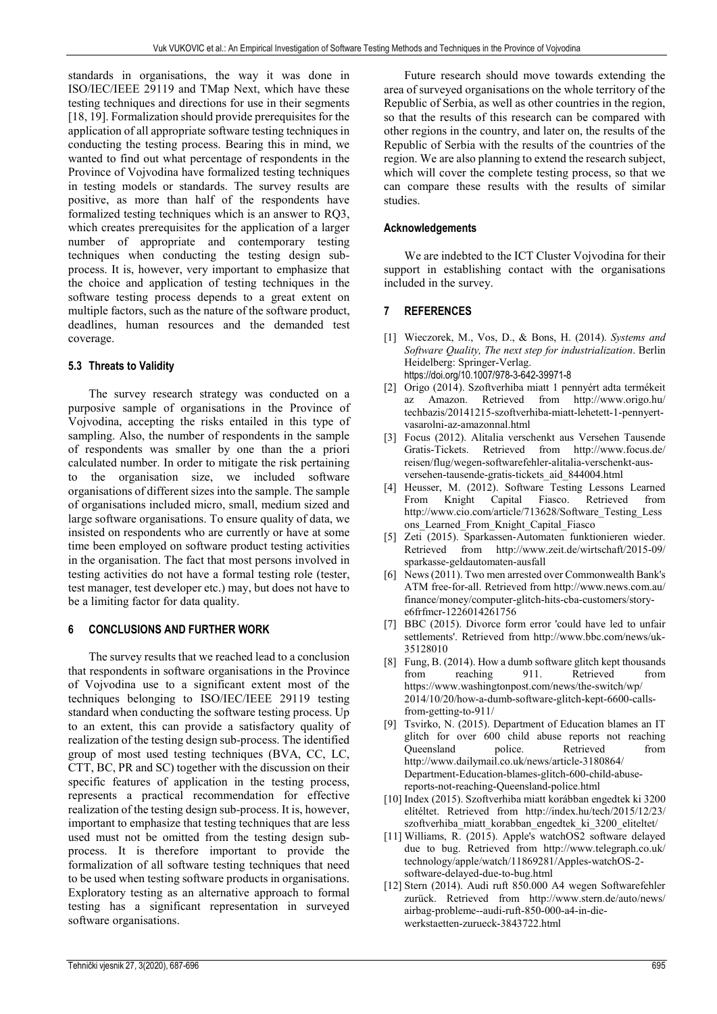standards in organisations, the way it was done in ISO/IEC/IEEE 29119 and TMap Next, which have these testing techniques and directions for use in their segments [18, 19]. Formalization should provide prerequisites for the application of all appropriate software testing techniques in conducting the testing process. Bearing this in mind, we wanted to find out what percentage of respondents in the Province of Vojvodina have formalized testing techniques in testing models or standards. The survey results are positive, as more than half of the respondents have formalized testing techniques which is an answer to RQ3, which creates prerequisites for the application of a larger number of appropriate and contemporary testing techniques when conducting the testing design subprocess. It is, however, very important to emphasize that the choice and application of testing techniques in the software testing process depends to a great extent on multiple factors, such as the nature of the software product, deadlines, human resources and the demanded test coverage.

## **5.3 Threats to Validity**

The survey research strategy was conducted on a purposive sample of organisations in the Province of Vojvodina, accepting the risks entailed in this type of sampling. Also, the number of respondents in the sample of respondents was smaller by one than the a priori calculated number. In order to mitigate the risk pertaining to the organisation size, we included software organisations of different sizes into the sample. The sample of organisations included micro, small, medium sized and large software organisations. To ensure quality of data, we insisted on respondents who are currently or have at some time been employed on software product testing activities in the organisation. The fact that most persons involved in testing activities do not have a formal testing role (tester, test manager, test developer etc.) may, but does not have to be a limiting factor for data quality.

## **6 CONCLUSIONS AND FURTHER WORK**

The survey results that we reached lead to a conclusion that respondents in software organisations in the Province of Vojvodina use to a significant extent most of the techniques belonging to ISO/IEC/IEEE 29119 testing standard when conducting the software testing process. Up to an extent, this can provide a satisfactory quality of realization of the testing design sub-process. The identified group of most used testing techniques (BVA, CC, LC, CTT, BC, PR and SC) together with the discussion on their specific features of application in the testing process, represents a practical recommendation for effective realization of the testing design sub-process. It is, however, important to emphasize that testing techniques that are less used must not be omitted from the testing design subprocess. It is therefore important to provide the formalization of all software testing techniques that need to be used when testing software products in organisations. Exploratory testing as an alternative approach to formal testing has a significant representation in surveyed software organisations.

Future research should move towards extending the area of surveyed organisations on the whole territory of the Republic of Serbia, as well as other countries in the region, so that the results of this research can be compared with other regions in the country, and later on, the results of the Republic of Serbia with the results of the countries of the region. We are also planning to extend the research subject, which will cover the complete testing process, so that we can compare these results with the results of similar studies.

## **Acknowledgements**

We are indebted to the ICT Cluster Vojvodina for their support in establishing contact with the organisations included in the survey.

## **7 REFERENCES**

- [1] Wieczorek, M., Vos, D., & Bons, H. (2014). *Systems and Software Quality, The next step for industrialization*. Berlin Heidelberg: Springer-Verlag. https://doi.org/10.1007/978-3-642-39971-8
- [2] Origo (2014). Szoftverhiba miatt 1 pennyért adta termékeit az Amazon. Retrieved from http://www.origo.hu/ techbazis/20141215-szoftverhiba-miatt-lehetett-1-pennyertvasarolni-az-amazonnal.html
- [3] Focus (2012). Alitalia verschenkt aus Versehen Tausende Gratis-Tickets. Retrieved from http://www.focus.de/ reisen/flug/wegen-softwarefehler-alitalia-verschenkt-ausversehen-tausende-gratis-tickets\_aid\_844004.html
- [4] Heusser, M. (2012). Software Testing Lessons Learned From Knight Capital Fiasco. Retrieved from http://www.cio.com/article/713628/Software\_Testing\_Less ons Learned From Knight Capital Fiasco
- [5] Zeti (2015). Sparkassen-Automaten funktionieren wieder. Retrieved from http://www.zeit.de/wirtschaft/2015-09/ sparkasse-geldautomaten-ausfall
- [6] News (2011). Two men arrested over Commonwealth Bank's ATM free-for-all. Retrieved from http://www.news.com.au/ finance/money/computer-glitch-hits-cba-customers/storye6frfmcr-1226014261756
- [7] BBC (2015). Divorce form error 'could have led to unfair settlements'. Retrieved from http://www.bbc.com/news/uk-35128010
- [8] Fung, B. (2014). How a dumb software glitch kept thousands from reaching 911. Retrieved from https://www.washingtonpost.com/news/the-switch/wp/ 2014/10/20/how-a-dumb-software-glitch-kept-6600-callsfrom-getting-to-911/
- [9] Tsvirko, N. (2015). Department of Education blames an IT glitch for over 600 child abuse reports not reaching Queensland police. Retrieved from http://www.dailymail.co.uk/news/article-3180864/ Department-Education-blames-glitch-600-child-abusereports-not-reaching-Queensland-police.html
- [10] Index (2015). Szoftverhiba miatt korábban engedtek ki 3200 elítéltet. Retrieved from http://index.hu/tech/2015/12/23/ szoftverhiba miatt korabban engedtek ki 3200 eliteltet/
- [11] Williams, R. (2015). Apple's watchOS2 software delayed due to bug. Retrieved from http://www.telegraph.co.uk/ technology/apple/watch/11869281/Apples-watchOS-2 software-delayed-due-to-bug.html
- [12] Stern (2014). Audi ruft 850.000 A4 wegen Softwarefehler zurück. Retrieved from http://www.stern.de/auto/news/ airbag-probleme--audi-ruft-850-000-a4-in-diewerkstaetten-zurueck-3843722.html